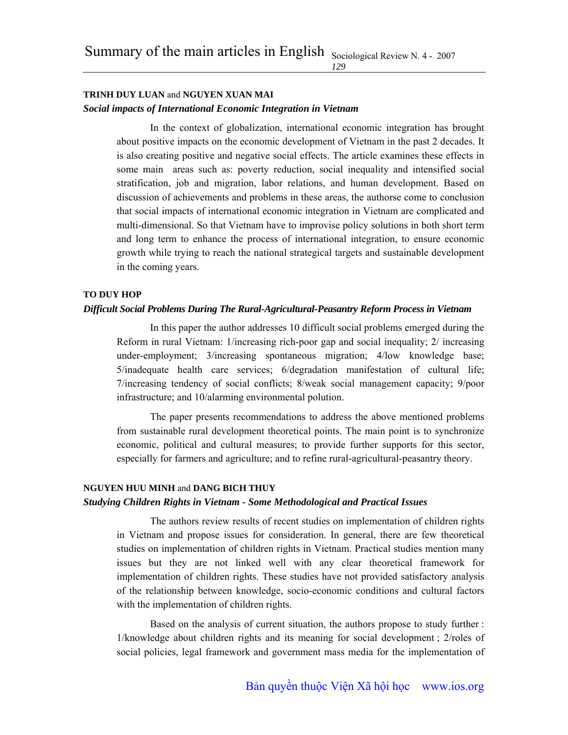#### **TRINH DUY LUAN** and **NGUYEN XUAN MAI**

### *Social impacts of International Economic Integration in Vietnam*

In the context of globalization, international economic integration has brought about positive impacts on the economic development of Vietnam in the past 2 decades. It is also creating positive and negative social effects. The article examines these effects in some main areas such as: poverty reduction, social inequality and intensified social stratification, job and migration, labor relations, and human development. Based on discussion of achievements and problems in these areas, the authorse come to conclusion that social impacts of international economic integration in Vietnam are complicated and multi-dimensional. So that Vietnam have to improvise policy solutions in both short term and long term to enhance the process of international integration, to ensure economic growth while trying to reach the national strategical targets and sustainable development in the coming years.

*129*

#### **TO DUY HOP**

#### *Difficult Social Problems During The Rural-Agricultural-Peasantry Reform Process in Vietnam*

In this paper the author addresses 10 difficult social problems emerged during the Reform in rural Vietnam: 1/increasing rich-poor gap and social inequality; 2/ increasing under-employment; 3/increasing spontaneous migration; 4/low knowledge base; 5/inadequate health care services; 6/degradation manifestation of cultural life; 7/increasing tendency of social conflicts; 8/weak social management capacity; 9/poor infrastructure; and 10/alarming environmental polution.

The paper presents recommendations to address the above mentioned problems from sustainable rural development theoretical points. The main point is to synchronize economic, political and cultural measures; to provide further supports for this sector, especially for farmers and agriculture; and to refine rural-agricultural-peasantry theory.

#### **NGUYEN HUU MINH** and **DANG BICH THUY**

#### *Studying Children Rights in Vietnam - Some Methodological and Practical Issues*

The authors review results of recent studies on implementation of children rights in Vietnam and propose issues for consideration. In general, there are few theoretical studies on implementation of children rights in Vietnam. Practical studies mention many issues but they are not linked well with any clear theoretical framework for implementation of children rights. These studies have not provided satisfactory analysis of the relationship between knowledge, socio-economic conditions and cultural factors with the implementation of children rights.

Based on the analysis of current situation, the authors propose to study further : 1/knowledge about children rights and its meaning for social development ; 2/roles of social policies, legal framework and government mass media for the implementation of